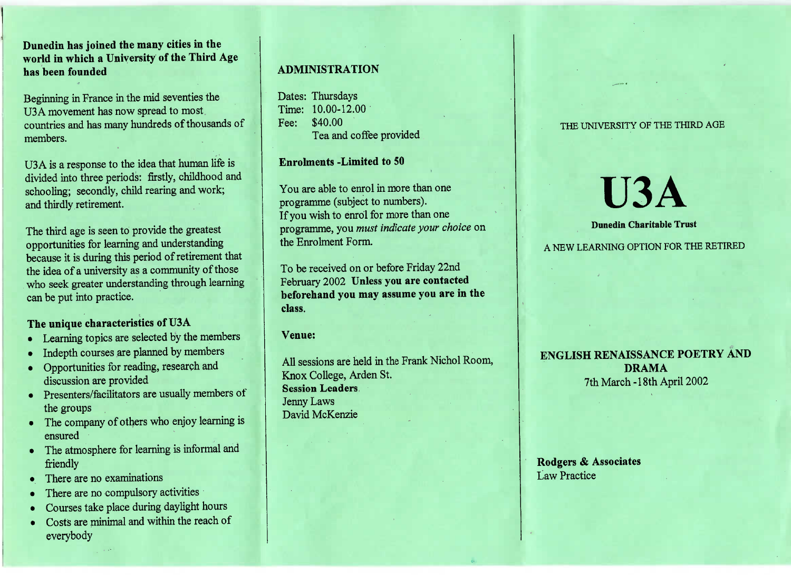**Dunedin has joined the many cities in the world in which a University of the Third Agehas been founded**

Beginning in France in the mid seventies theU3A movement has now spread to most countries and has many hundreds of thousands ofmembers.

U3A is a response to the idea that human life is livided into three periods: firstly, childhood and schooling; secondly, child rearing and work;and thirdly retirement.

The third age is seen to provide the greatest opportunities for learning and understanding because it is during this period of retirement thatthe idea of a university as a community of those who seek greater understanding through learningcan be put into practice.

## **The unique characteristics of USA**

- Learning topics are selected by the members
- Indepth courses are planned by members
- Opportunities for reading, research anddiscussion are provided
- Presenters/facilitators are usually members of the groups
- The company of others who enjoy learning isensured
- The atmosphere for learning is informal andfriendly
- There are no examinations
- There are no compulsory activities
- Courses take place during daylight hours
- Costs are minimal and within the reach of everybody

## **ADMINISTRATION**

Dates: Thursdays Time: 10.00-12.00Fee: \$40.00ea and coffee provided

## **Enrolments -Limited to 50**

You are able to enrol in more than oneprogramme (subject to numbers).f you wish to enrol for more than one programme, you *must indicate your choice* onthe Enrolment Form.

To be received on or before Friday 22nd February 2002 **Unless you are contacted beforehand you may assume you are in theclass.**

## **Venue:**

All sessions are held in the Frank Nichol Room,Knox College, Arden St.**Session Leaders**Jenny LawsDavid McKenzie

### THE UNIVERSITY OF THE THIRD AGE

# **U3ADunedin Charitable Trust**

#### A NEW LEARNING OPTION FOR THE RETIRED A NEW LEARNING OPTION FOR THE RETIRED

## **ENGLISH RENAISSANCE POETRY ANDDRAMA**7th March-18th April 2002

## **Rodgers & Associates**Law Practice